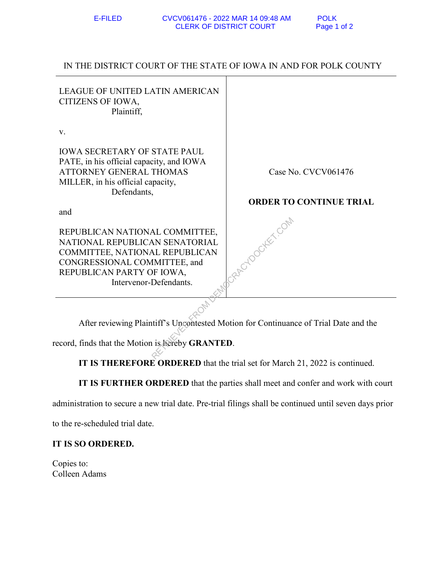## IN THE DISTRICT COURT OF THE STATE OF IOWA IN AND FOR POLK COUNTY

| <b>LEAGUE OF UNITED LATIN AMERICAN</b><br>CITIZENS OF IOWA,<br>Plaintiff,                                                                                                                 |                                |
|-------------------------------------------------------------------------------------------------------------------------------------------------------------------------------------------|--------------------------------|
| V.                                                                                                                                                                                        |                                |
| <b>IOWA SECRETARY OF STATE PAUL</b><br>PATE, in his official capacity, and IOWA<br>ATTORNEY GENERAL THOMAS<br>MILLER, in his official capacity,<br>Defendants,                            | Case No. CVCV061476            |
|                                                                                                                                                                                           | <b>ORDER TO CONTINUE TRIAL</b> |
| and                                                                                                                                                                                       |                                |
| REPUBLICAN NATIONAL COMMITTEE,<br>NATIONAL REPUBLICAN SENATORIAL<br>COMMITTEE, NATIONAL REPUBLICAN<br>CONGRESSIONAL COMMITTEE, and<br>REPUBLICAN PARTY OF IOWA,<br>Intervenor-Defendants. | KET CON                        |
|                                                                                                                                                                                           |                                |
| After reviewing Plaintiff's Uncontested Motion for Continuance of Trial Date and the                                                                                                      |                                |
| ecord, finds that the Motion is hereby GRANTED.                                                                                                                                           |                                |

**IT IS THEREFORE ORDERED** that the trial set for March 21, 2022 is continued.

**IT IS FURTHER ORDERED** that the parties shall meet and confer and work with court

administration to secure a new trial date. Pre-trial filings shall be continued until seven days prior

to the re-scheduled trial date.

## **IT IS SO ORDERED.**

Copies to: Colleen Adams